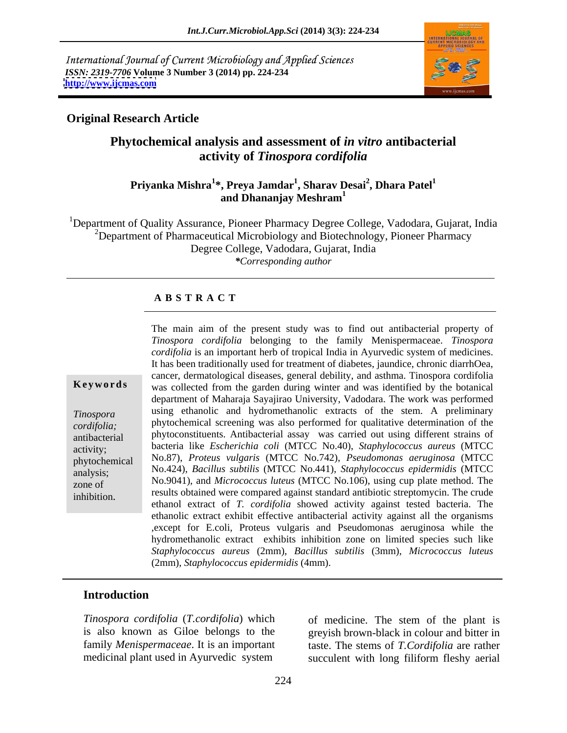International Journal of Current Microbiology and Applied Sciences *ISSN: 2319-7706* **Volume 3 Number 3 (2014) pp. 224-234 <http://www.ijcmas.com>**



### **Original Research Article**

## **Phytochemical analysis and assessment of** *in vitro* **antibacterial activity of** *Tinospora cordifolia*

#### **Priyanka Mishra<sup>1</sup> \*, Preya Jamdar<sup>1</sup> , Sharav Desai<sup>2</sup> , Dhara Patel<sup>1</sup> and Dhananjay Meshram<sup>1</sup>**

<sup>1</sup>Department of Quality Assurance, Pioneer Pharmacy Degree College, Vadodara, Gujarat, India <sup>2</sup>Department of Pharmaceutical Microbiology and Biotechnology, Pioneer Pharmacy Degree College, Vadodara, Gujarat, India *\*Corresponding author* 

### **A B S T R A C T**

**Keywords** was collected from the garden during winter and was identified by the botanical *Tinospora*  using ethanolic and hydromethanolic extracts of the stem. A preliminary *cordifolia;* phytochemical screening was also performed for qualitative determination of the antibacterial phytoconstituents. Antibacterial assay was carried out using different strains of activity; bacteria like *Escherichia coli* (MTCC No.40), *Staphylococcus aureus* (MTCC phytochemical No.87), *Proteus vulgaris* (MTCC No.742), *Pseudomonas aeruginosa* (MTCC analysis; No.424), *Bacillus subtilis* (MTCC No.441), *Staphylococcus epidermidis* (MTCC zone of No.9041), and *Micrococcus luteus* (MTCC No.106), using cup plate method. The The main aim of the present study was to find out antibacterial property of<br> *Conspora cordifolia* is an important herb of tropical India in Ayurvedic system of medicines.<br>
It has been traditionally used for treatment of d *Tinospora cordifolia* belonging to the family Menispermaceae. *Tinospora cordifolia* is an important herb of tropical India in Ayurvedic system of medicines. It has been traditionally used for treatment of diabetes, jaundice, chronic diarrhOea, cancer, dermatological diseases, general debility, and asthma. Tinospora cordifolia department of Maharaja Sayajirao University, Vadodara. The work was performed results obtained were compared against standard antibiotic streptomycin. The crude ethanol extract of *T. cordifolia* showed activity against tested bacteria. The ethanolic extract exhibit effective antibacterial activity against all the organisms ,except for E.coli, Proteus vulgaris and Pseudomonas aeruginosa while the hydromethanolic extract exhibits inhibition zone on limited species such like *Staphylococcus aureus* (2mm), *Bacillus subtilis* (3mm), *Micrococcus luteus* (2mm), *Staphylococcus epidermidis* (4mm).

### **Introduction**

*Tinospora cordifolia* (*T.cordifolia*) which is also known as Giloe belongs to the greyish brown-black in colour and bitter in family *Menispermaceae*. It is an important taste. The stems of *T.Cordifolia* are rather

medicinal plant used in Ayurvedic system succulent with long filiform fleshy aerial of medicine. The stem of the plant is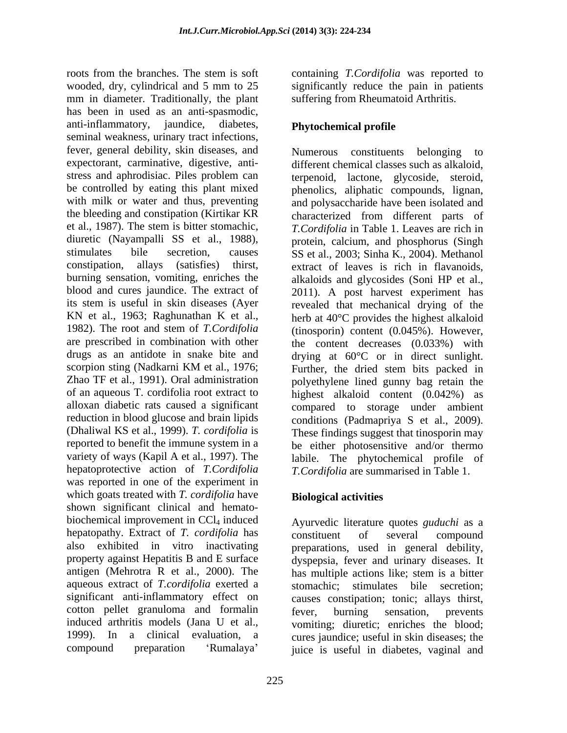roots from the branches. The stem is soft containing *T.Cordifolia* was reported to wooded, dry, cylindrical and 5 mm to 25 significantly reduce the pain in patients mm in diameter. Traditionally, the plant has been in used as an anti-spasmodic, anti-inflammatory, jaundice, diabetes, Phytochemical profile seminal weakness, urinary tract infections, fever, general debility, skin diseases, and expectorant, carminative, digestive, anti stress and aphrodisiac. Piles problem can be controlled by eating this plant mixed phenolics, aliphatic compounds, lignan, with milk or water and thus, preventing and polysaccharide have been isolated and the bleeding and constipation (Kirtikar KR characterized from different parts of et al., 1987). The stem is bitter stomachic, *T.Cordifolia* in Table 1. Leaves are rich in diuretic (Nayampalli SS et al., 1988), protein, calcium, and phosphorus (Singh stimulates bile secretion, causes SS et al., 2003; Sinha K., 2004). Methanol constipation, allays (satisfies) thirst, extract of leaves is rich in flavanoids, burning sensation, vomiting, enriches the alkaloids and glycosides (Soni HP et al., blood and cures jaundice. The extract of 2011). A post harvest experiment has its stem is useful in skin diseases (Ayer revealed that mechanical drying of the KN et al., 1963; Raghunathan K et al., herb at  $40^{\circ}$ C provides the highest alkaloid 1982). The root and stem of *T.Cordifolia* (tinosporin) content (0.045%). However, are prescribed in combination with other the content decreases (0.033%) with drugs as an antidote in snake bite and drying at 60°C or in direct sunlight. scorpion sting (Nadkarni KM et al., 1976; Further, the dried stem bits packed in Zhao TF et al., 1991). Oral administration polyethylene lined gunny bag retain the of an aqueous T. cordifolia root extract to highest alkaloid content (0.042%) as alloxan diabetic rats caused a significant compared to storage under ambient reduction in blood glucose and brain lipids conditions (Padmapriya S et al., 2009). (Dhaliwal KS et al., 1999). *T. cordifolia* is reported to benefit the immune system in a be either photosensitive and/or thermo variety of ways (Kapil A et al., 1997). The labile. The phytochemical profile of hepatoprotective action of *T.Cordifolia T.Cordifolia* are summarised in Table 1. was reported in one of the experiment in which goats treated with *T. cordifolia* have shown significant clinical and hemato biochemical improvement in CCl<sub>4</sub> induced Ayurvedic literature quotes *guduchi* as a hepatopathy. Extract of *T. cordifolia* has also exhibited in vitro inactivating preparations, used in general debility, property against Hepatitis B and E surface dyspepsia, fever and urinary diseases. It antigen (Mehrotra R et al., 2000). The has multiple actions like; stem is a bitter aqueous extract of *T.cordifolia* exerted a significant anti-inflammatory effect on cotton pellet granuloma and formalin fever, burning sensation, prevents induced arthritis models (Jana U et al., vomiting; diuretic; enriches the blood; 1999). In a clinical evaluation, a cures jaundice; useful in skin diseases; the

suffering from Rheumatoid Arthritis.

### **Phytochemical profile**

Numerous constituents belonging different chemical classes such as alkaloid, terpenoid, lactone, glycoside, steroid, protein, calcium, and phosphorus (Singh SS et al., 2003; Sinha K., 2004). Methanol Further, the dried stem bits packed in conditions (Padmapriya <sup>S</sup> et al., 2009). These findings suggest that tinosporin may

### **Biological activities**

compound preparation Rumalaya juice is useful in diabetes, vaginal andconstituent of several compound has multiple actions like; stem is a bitter stimulates bile secretion; causes constipation; tonic; allays thirst, fever, burning sensation, prevents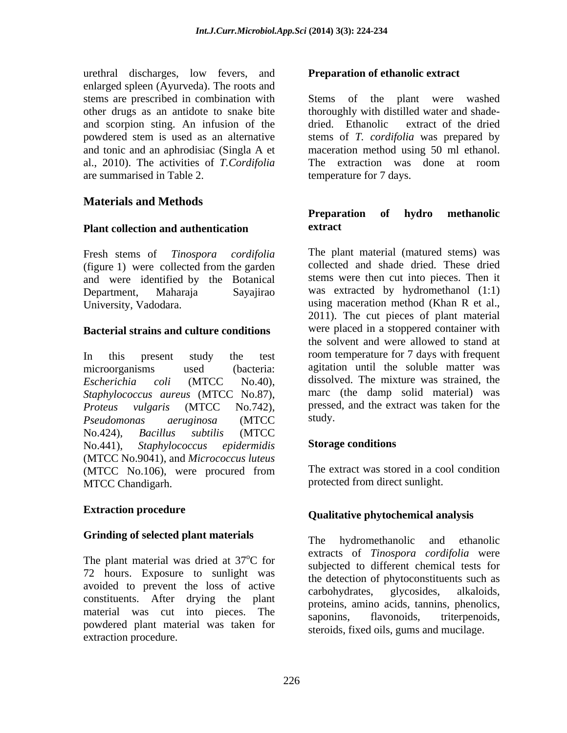urethral discharges, low fevers, and enlarged spleen (Ayurveda). The roots and stems are prescribed in combination with Stems of the plant were washed and scorpion sting. An infusion of the dried. Ethanolic extract of the dried al., 2010). The activities of *T.Cordifolia* are summarised in Table 2. temperature for 7 days.

### **Materials and Methods**

### **Plant collection and authentication**

(figure 1) were collected from the garden and were identified by the Botanical

#### **Bacterial strains and culture conditions**

*Staphylococcus aureus* (MTCC No.87), *Pseudomonas aeruginosa* (MTCC No.424), *Bacillus subtilis* (MTCC No.441), *Staphylococcus epidermidis* (MTCC No.9041), and *Micrococcus luteus* (MTCC No.106), were procured from The extract was stored in a cool condition MTCC Chandigarh. protected from direct sunlight.

## **Grinding of selected plant materials** The hydromethanolic and ethanolic

The plant material was dried at  $37^{\circ}$ C for 72 hours. Exposure to sunlight was avoided to prevent the loss of active carbohydrates, glycosides, alkaloids, constituents. After drying the plant material was cut into pieces. The saponins, announced the structure of the material was cut into pieces. The saponins, flavonoids, triterpenoids, powdered plant material was taken for extraction procedure.

other drugs as an antidote to snake bite thoroughly with distilled water and shade powdered stem is used as an alternative stems of *T. cordifolia* was prepared by and tonic and an aphrodisiac (SinglaA et maceration method using 50 ml ethanol. **Preparation of ethanolic extract** Stems of the plant were washed dried. Ethanolic extract of the dried The extraction was done at room

### **Preparation of hydro methanolic extract**

Fresh stems of *Tinospora cordifolia* The plant material (matured stems) was Department, Maharaja Sayajirao was extracted by hydromethanol (1:1) University, Vadodara. **Exercise 19 and 19 and 19 and 19 and 19 and 19 and 19 and 19 and 19 and 19 and 19 and 19 and 19 and 19 and 19 and 19 and 19 and 19 and 19 and 19 and 19 and 19 and 19 and 19 and 19 and 19 and 19 and 1** In this present study the test room temperature for 7 days with frequent microorganisms used (bacteria: agitation until the soluble matter was *Escherichia coli* (MTCC No.40), *Proteus vulgaris* (MTCC No.742), collected and shade dried. These dried stems were then cut into pieces. Then it 2011). The cut pieces of plant material were placed in a stoppered container with the solvent and were allowed to stand at dissolved. The mixture was strained, the marc (the damp solid material) was pressed, and the extract was taken for the study.

### **Storage conditions**

The extract was stored in a cool condition

# **Extraction procedure Qualitative phytochemical analysis**

<sup>o</sup>C for explored to different chamical tests for The hydromethanolic and ethanolic extracts of *Tinospora cordifolia* were subjected to different chemical tests for the detection of phytoconstituents such as carbohydrates, glycosides, alkaloids, proteins, amino acids, tannins, phenolics, saponins, flavonoids, triterpenoids, steroids, fixed oils, gums and mucilage.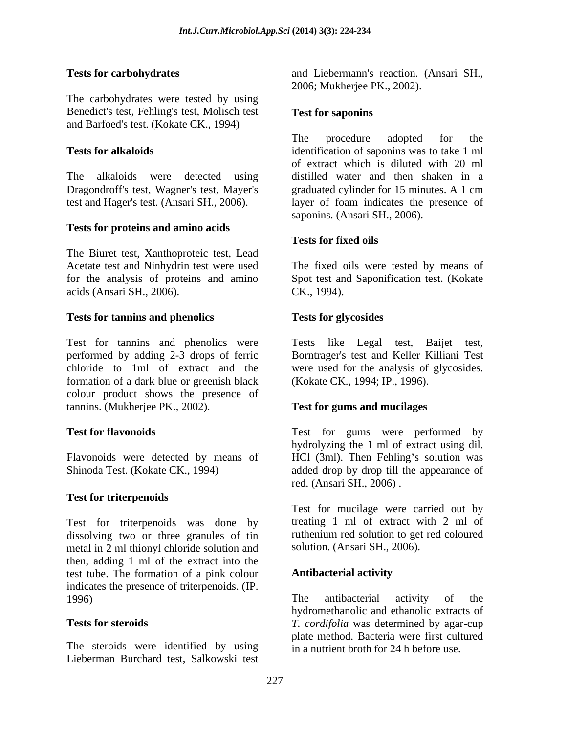The carbohydrates were tested by using Benedict's test, Fehling's test, Molisch test and Barfoed's test. (Kokate CK., 1994)

The alkaloids were detected using Dragondroff's test, Wagner's test, Mayer's graduated cylinder for 15 minutes. A 1 cm

### **Tests for proteins and amino acids**

The Biuret test, Xanthoproteic test, Lead acids (Ansari SH., 2006).

#### **Tests for tannins and phenolics**

Test for tannins and phenolics were performed by adding 2-3 drops of ferric Borntrager's test and Keller Killiani Test chloride to 1ml of extract and the were used for the analysis of glycosides. formation of a dark blue or greenish black colour product shows the presence of tannins. (Mukherjee PK., 2002).

### **Test for triterpenoids**

Test for triterpenoids was done by dissolving two or three granules of tin metal in 2 ml thionyl chloride solution and then, adding 1 ml of the extract into the test tube. The formation of a pink colour indicates the presence of triterpenoids. (IP.<br>
The antibacterial<br>
The antibacterial

The steroids were identified by using Lieberman Burchard test, Salkowski test

**Tests for carbohydrates**  and Liebermann's reaction. (Ansari SH., 2006; Mukherjee PK., 2002).

#### **Test for saponins**

**Tests for alkaloids**  identification of saponins was to take 1 ml test and Hager's test. (Ansari SH., 2006). layer of foam indicates the presence of The procedure adopted for the of extract which is diluted with 20 ml distilled water and then shaken in a graduated cylinder for 15 minutes. A 1 cm saponins. (Ansari SH., 2006).

### **Tests for fixed oils**

Acetate test and Ninhydrin test were used The fixed oils were tested by means of for the analysis of proteins and amino Spot test and Saponification test. (Kokate CK., 1994).

### **Tests for glycosides**

Tests like Legal test, Baijet test, (Kokate CK., 1994; IP., 1996).

### **Test for gums and mucilages**

**Test for flavonoids**  Test for gums were performed by Flavonoids were detected by means of HCl (3ml). Then Fehling's solution was Shinoda Test. (Kokate CK., 1994) added drop by drop till the appearance of hydrolyzing the 1 ml of extract using dil. red. (Ansari SH., 2006) .

> Test for mucilage were carried out by treating 1 ml of extract with 2 ml of ruthenium red solution to get red coloured solution. (Ansari SH., 2006).

### **Antibacterial activity**

1996) The antibacterial activity of the **Tests for steroids**  *T. cordifolia* was determined by agar-cup The antibacterial activity of the hydromethanolic and ethanolic extracts of plate method. Bacteria were first cultured in a nutrient broth for 24 h before use.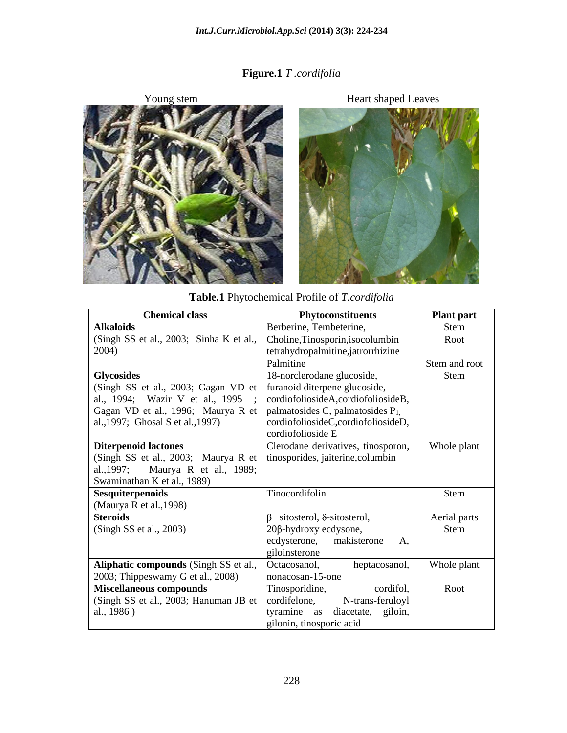### **Figure.1** *T .cordifolia*



**Table.1** Phytochemical Profile of *T.cordifolia*

| <b>Chemical class</b>                                                     | Phytoconstituents                          | <b>Plant part</b> |
|---------------------------------------------------------------------------|--------------------------------------------|-------------------|
| <b>Alkaloids</b>                                                          | Berberine, Tembeterine,                    | Stem              |
| (Singh SS et al., 2003; Sinha K et al., Choline, Tinosporin, isocolumbin  |                                            | Root              |
| 2004)                                                                     | tetrahydropalmitine, jatrorrhizine         |                   |
|                                                                           | Palmitine                                  | Stem and root     |
| <b>Glycosides</b>                                                         | 18-norclerodane glucoside,                 | Stem              |
| (Singh SS et al., 2003; Gagan VD et   furanoid diterpene glucoside,       |                                            |                   |
| al., 1994; Wazir V et al., 1995                                           | ;   cordiofoliosideA, cordiofoliosideB,    |                   |
| Gagan VD et al., 1996; Maurya R et   palmatosides C, palmatosides $P_1$ , |                                            |                   |
| al., 1997; Ghosal S et al., 1997)                                         | cordiofoliosideC,cordiofoliosideD,         |                   |
|                                                                           | cordiofolioside E                          |                   |
| <b>Diterpenoid lactones</b>                                               | Clerodane derivatives, tinosporon,         | Whole plant       |
| (Singh SS et al., 2003; Maurya R et   tinosporides, jaiterine, columbin   |                                            |                   |
| al., 1997; Maurya R et al., 1989;                                         |                                            |                   |
| Swaminathan K et al., 1989)                                               |                                            |                   |
| Sesquiterpenoids                                                          | Tinocordifolin                             | Stem              |
| (Maurya R et al., 1998)                                                   |                                            |                   |
| <b>Steroids</b>                                                           | $\beta$ -sitosterol, $\delta$ -sitosterol, | Aerial parts      |
| (Singh SS et al., 2003)                                                   | 20β-hydroxy ecdysone,                      | Stem              |
|                                                                           | ecdysterone, makisterone A,                |                   |
|                                                                           | giloinsterone                              |                   |
| Aliphatic compounds (Singh SS et al.,                                     | Octacosanol,<br>heptacosanol,              | Whole plant       |
| 2003; Thippeswamy G et al., 2008)                                         | nonacosan-15-one                           |                   |
| <b>Miscellaneous compounds</b>                                            | cordifol,<br>Tinosporidine,                | Root              |
| (Singh SS et al., 2003; Hanuman JB et   cordifelone,                      | N-trans-feruloyl                           |                   |
| al., 1986)                                                                | tyramine as diacetate, giloin,             |                   |
|                                                                           | gilonin, tinosporic acid                   |                   |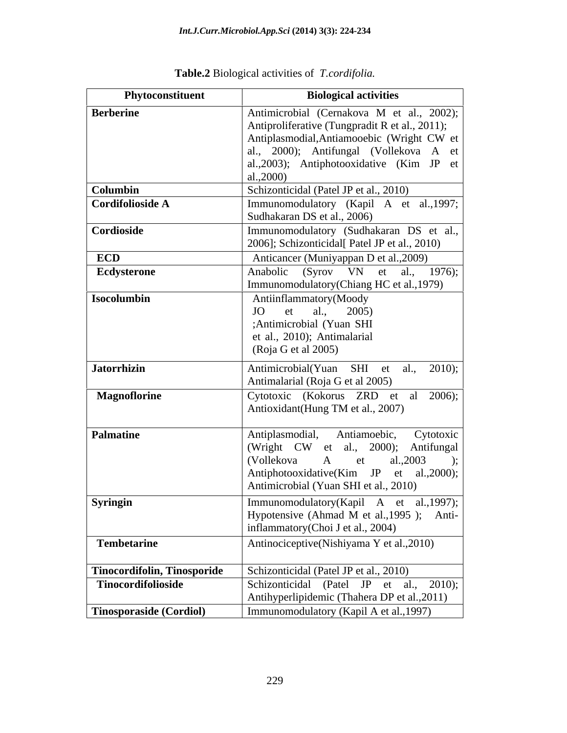| Antimicrobial (Cernakova M et al., 2002);<br>Antiproliferative (Tungpradit R et al., 2011);<br>Antiplasmodial, Antiamooebic (Wright CW et  <br>al., 2000); Antifungal (Vollekova A et  <br>al., 2003); Antiphotooxidative (Kim JP et $\vert$<br>al.,2000)<br><b>Columbin</b><br>Schizonticidal (Patel JP et al., 2010)<br>Immunomodulatory (Kapil A et al., 1997;<br>Cordifolioside A<br>Sudhakaran DS et al., 2006)<br>Immunomodulatory (Sudhakaran DS et al.,  <br>Cordioside<br>2006]; Schizonticidal[ Patel JP et al., 2010)<br><b>ECD</b><br>Anticancer (Muniyappan D et al., 2009)<br>Anabolic (Syrov VN et al., 1976);<br>Ecdysterone<br>Immunomodulatory(Chiang HC et al., 1979)<br>Isocolumbin<br>Antiinflammatory(Moody<br>JO et al., 2005)<br>;Antimicrobial (Yuan SHI<br>et al., 2010); Antimalarial<br>(Roja G et al 2005)<br>Antimicrobial(Yuan SHI et al., 2010);<br><b>Jatorrhizin</b><br>Antimalarial (Roja G et al 2005)<br><b>Magnoflorine</b><br>Cytotoxic (Kokorus ZRD et al 2006);<br>Antioxidant(Hung TM et al., 2007)<br>Palmatine<br>Antiplasmodial, Antiamoebic, Cytotoxic<br>(Wright CW et al., 2000); Antifungal<br>(Vollekova<br>A et al.,2003<br>Antiphotooxidative(Kim JP et al.,2000);<br>Antimicrobial (Yuan SHI et al., 2010)<br>Syringin<br>  Immunomodulatory(Kapil A et al.,1997);  <br>Hypotensive (Ahmad M et al., 1995); Anti-<br>inflammatory(Choi J et al., 2004)<br>Antinociceptive(Nishiyama Y et al., 2010)<br>Tembetarine<br><b>Tinocordifolin, Tinosporide</b><br>Schizonticidal (Patel JP et al., 2010)<br>Schizonticidal (Patel JP et al., 2010);<br>Tinocordifolioside<br>Antihyperlipidemic (Thahera DP et al., 2011) | Phytoconstituent               | <b>Biological activities</b>            |
|--------------------------------------------------------------------------------------------------------------------------------------------------------------------------------------------------------------------------------------------------------------------------------------------------------------------------------------------------------------------------------------------------------------------------------------------------------------------------------------------------------------------------------------------------------------------------------------------------------------------------------------------------------------------------------------------------------------------------------------------------------------------------------------------------------------------------------------------------------------------------------------------------------------------------------------------------------------------------------------------------------------------------------------------------------------------------------------------------------------------------------------------------------------------------------------------------------------------------------------------------------------------------------------------------------------------------------------------------------------------------------------------------------------------------------------------------------------------------------------------------------------------------------------------------------------------------------------------------------------------------------------------------------------------------|--------------------------------|-----------------------------------------|
|                                                                                                                                                                                                                                                                                                                                                                                                                                                                                                                                                                                                                                                                                                                                                                                                                                                                                                                                                                                                                                                                                                                                                                                                                                                                                                                                                                                                                                                                                                                                                                                                                                                                          | <b>Berberine</b>               |                                         |
|                                                                                                                                                                                                                                                                                                                                                                                                                                                                                                                                                                                                                                                                                                                                                                                                                                                                                                                                                                                                                                                                                                                                                                                                                                                                                                                                                                                                                                                                                                                                                                                                                                                                          |                                |                                         |
|                                                                                                                                                                                                                                                                                                                                                                                                                                                                                                                                                                                                                                                                                                                                                                                                                                                                                                                                                                                                                                                                                                                                                                                                                                                                                                                                                                                                                                                                                                                                                                                                                                                                          |                                |                                         |
|                                                                                                                                                                                                                                                                                                                                                                                                                                                                                                                                                                                                                                                                                                                                                                                                                                                                                                                                                                                                                                                                                                                                                                                                                                                                                                                                                                                                                                                                                                                                                                                                                                                                          |                                |                                         |
|                                                                                                                                                                                                                                                                                                                                                                                                                                                                                                                                                                                                                                                                                                                                                                                                                                                                                                                                                                                                                                                                                                                                                                                                                                                                                                                                                                                                                                                                                                                                                                                                                                                                          |                                |                                         |
|                                                                                                                                                                                                                                                                                                                                                                                                                                                                                                                                                                                                                                                                                                                                                                                                                                                                                                                                                                                                                                                                                                                                                                                                                                                                                                                                                                                                                                                                                                                                                                                                                                                                          |                                |                                         |
|                                                                                                                                                                                                                                                                                                                                                                                                                                                                                                                                                                                                                                                                                                                                                                                                                                                                                                                                                                                                                                                                                                                                                                                                                                                                                                                                                                                                                                                                                                                                                                                                                                                                          |                                |                                         |
|                                                                                                                                                                                                                                                                                                                                                                                                                                                                                                                                                                                                                                                                                                                                                                                                                                                                                                                                                                                                                                                                                                                                                                                                                                                                                                                                                                                                                                                                                                                                                                                                                                                                          |                                |                                         |
|                                                                                                                                                                                                                                                                                                                                                                                                                                                                                                                                                                                                                                                                                                                                                                                                                                                                                                                                                                                                                                                                                                                                                                                                                                                                                                                                                                                                                                                                                                                                                                                                                                                                          |                                |                                         |
|                                                                                                                                                                                                                                                                                                                                                                                                                                                                                                                                                                                                                                                                                                                                                                                                                                                                                                                                                                                                                                                                                                                                                                                                                                                                                                                                                                                                                                                                                                                                                                                                                                                                          |                                |                                         |
|                                                                                                                                                                                                                                                                                                                                                                                                                                                                                                                                                                                                                                                                                                                                                                                                                                                                                                                                                                                                                                                                                                                                                                                                                                                                                                                                                                                                                                                                                                                                                                                                                                                                          |                                |                                         |
|                                                                                                                                                                                                                                                                                                                                                                                                                                                                                                                                                                                                                                                                                                                                                                                                                                                                                                                                                                                                                                                                                                                                                                                                                                                                                                                                                                                                                                                                                                                                                                                                                                                                          |                                |                                         |
|                                                                                                                                                                                                                                                                                                                                                                                                                                                                                                                                                                                                                                                                                                                                                                                                                                                                                                                                                                                                                                                                                                                                                                                                                                                                                                                                                                                                                                                                                                                                                                                                                                                                          |                                |                                         |
|                                                                                                                                                                                                                                                                                                                                                                                                                                                                                                                                                                                                                                                                                                                                                                                                                                                                                                                                                                                                                                                                                                                                                                                                                                                                                                                                                                                                                                                                                                                                                                                                                                                                          |                                |                                         |
|                                                                                                                                                                                                                                                                                                                                                                                                                                                                                                                                                                                                                                                                                                                                                                                                                                                                                                                                                                                                                                                                                                                                                                                                                                                                                                                                                                                                                                                                                                                                                                                                                                                                          |                                |                                         |
|                                                                                                                                                                                                                                                                                                                                                                                                                                                                                                                                                                                                                                                                                                                                                                                                                                                                                                                                                                                                                                                                                                                                                                                                                                                                                                                                                                                                                                                                                                                                                                                                                                                                          |                                |                                         |
|                                                                                                                                                                                                                                                                                                                                                                                                                                                                                                                                                                                                                                                                                                                                                                                                                                                                                                                                                                                                                                                                                                                                                                                                                                                                                                                                                                                                                                                                                                                                                                                                                                                                          |                                |                                         |
|                                                                                                                                                                                                                                                                                                                                                                                                                                                                                                                                                                                                                                                                                                                                                                                                                                                                                                                                                                                                                                                                                                                                                                                                                                                                                                                                                                                                                                                                                                                                                                                                                                                                          |                                |                                         |
|                                                                                                                                                                                                                                                                                                                                                                                                                                                                                                                                                                                                                                                                                                                                                                                                                                                                                                                                                                                                                                                                                                                                                                                                                                                                                                                                                                                                                                                                                                                                                                                                                                                                          |                                |                                         |
|                                                                                                                                                                                                                                                                                                                                                                                                                                                                                                                                                                                                                                                                                                                                                                                                                                                                                                                                                                                                                                                                                                                                                                                                                                                                                                                                                                                                                                                                                                                                                                                                                                                                          |                                |                                         |
|                                                                                                                                                                                                                                                                                                                                                                                                                                                                                                                                                                                                                                                                                                                                                                                                                                                                                                                                                                                                                                                                                                                                                                                                                                                                                                                                                                                                                                                                                                                                                                                                                                                                          |                                |                                         |
|                                                                                                                                                                                                                                                                                                                                                                                                                                                                                                                                                                                                                                                                                                                                                                                                                                                                                                                                                                                                                                                                                                                                                                                                                                                                                                                                                                                                                                                                                                                                                                                                                                                                          |                                |                                         |
|                                                                                                                                                                                                                                                                                                                                                                                                                                                                                                                                                                                                                                                                                                                                                                                                                                                                                                                                                                                                                                                                                                                                                                                                                                                                                                                                                                                                                                                                                                                                                                                                                                                                          |                                |                                         |
|                                                                                                                                                                                                                                                                                                                                                                                                                                                                                                                                                                                                                                                                                                                                                                                                                                                                                                                                                                                                                                                                                                                                                                                                                                                                                                                                                                                                                                                                                                                                                                                                                                                                          |                                |                                         |
|                                                                                                                                                                                                                                                                                                                                                                                                                                                                                                                                                                                                                                                                                                                                                                                                                                                                                                                                                                                                                                                                                                                                                                                                                                                                                                                                                                                                                                                                                                                                                                                                                                                                          |                                |                                         |
|                                                                                                                                                                                                                                                                                                                                                                                                                                                                                                                                                                                                                                                                                                                                                                                                                                                                                                                                                                                                                                                                                                                                                                                                                                                                                                                                                                                                                                                                                                                                                                                                                                                                          |                                |                                         |
|                                                                                                                                                                                                                                                                                                                                                                                                                                                                                                                                                                                                                                                                                                                                                                                                                                                                                                                                                                                                                                                                                                                                                                                                                                                                                                                                                                                                                                                                                                                                                                                                                                                                          |                                |                                         |
|                                                                                                                                                                                                                                                                                                                                                                                                                                                                                                                                                                                                                                                                                                                                                                                                                                                                                                                                                                                                                                                                                                                                                                                                                                                                                                                                                                                                                                                                                                                                                                                                                                                                          |                                |                                         |
|                                                                                                                                                                                                                                                                                                                                                                                                                                                                                                                                                                                                                                                                                                                                                                                                                                                                                                                                                                                                                                                                                                                                                                                                                                                                                                                                                                                                                                                                                                                                                                                                                                                                          |                                |                                         |
|                                                                                                                                                                                                                                                                                                                                                                                                                                                                                                                                                                                                                                                                                                                                                                                                                                                                                                                                                                                                                                                                                                                                                                                                                                                                                                                                                                                                                                                                                                                                                                                                                                                                          |                                |                                         |
|                                                                                                                                                                                                                                                                                                                                                                                                                                                                                                                                                                                                                                                                                                                                                                                                                                                                                                                                                                                                                                                                                                                                                                                                                                                                                                                                                                                                                                                                                                                                                                                                                                                                          |                                |                                         |
|                                                                                                                                                                                                                                                                                                                                                                                                                                                                                                                                                                                                                                                                                                                                                                                                                                                                                                                                                                                                                                                                                                                                                                                                                                                                                                                                                                                                                                                                                                                                                                                                                                                                          |                                |                                         |
|                                                                                                                                                                                                                                                                                                                                                                                                                                                                                                                                                                                                                                                                                                                                                                                                                                                                                                                                                                                                                                                                                                                                                                                                                                                                                                                                                                                                                                                                                                                                                                                                                                                                          |                                |                                         |
|                                                                                                                                                                                                                                                                                                                                                                                                                                                                                                                                                                                                                                                                                                                                                                                                                                                                                                                                                                                                                                                                                                                                                                                                                                                                                                                                                                                                                                                                                                                                                                                                                                                                          |                                |                                         |
|                                                                                                                                                                                                                                                                                                                                                                                                                                                                                                                                                                                                                                                                                                                                                                                                                                                                                                                                                                                                                                                                                                                                                                                                                                                                                                                                                                                                                                                                                                                                                                                                                                                                          |                                |                                         |
|                                                                                                                                                                                                                                                                                                                                                                                                                                                                                                                                                                                                                                                                                                                                                                                                                                                                                                                                                                                                                                                                                                                                                                                                                                                                                                                                                                                                                                                                                                                                                                                                                                                                          |                                |                                         |
|                                                                                                                                                                                                                                                                                                                                                                                                                                                                                                                                                                                                                                                                                                                                                                                                                                                                                                                                                                                                                                                                                                                                                                                                                                                                                                                                                                                                                                                                                                                                                                                                                                                                          | <b>Tinosporaside (Cordiol)</b> | Immunomodulatory (Kapil A et al., 1997) |

| <b>Table</b><br>D<br>activities of<br>B10l0g1cal | . .<br>1.cordifolia. |  |  |  |
|--------------------------------------------------|----------------------|--|--|--|
|--------------------------------------------------|----------------------|--|--|--|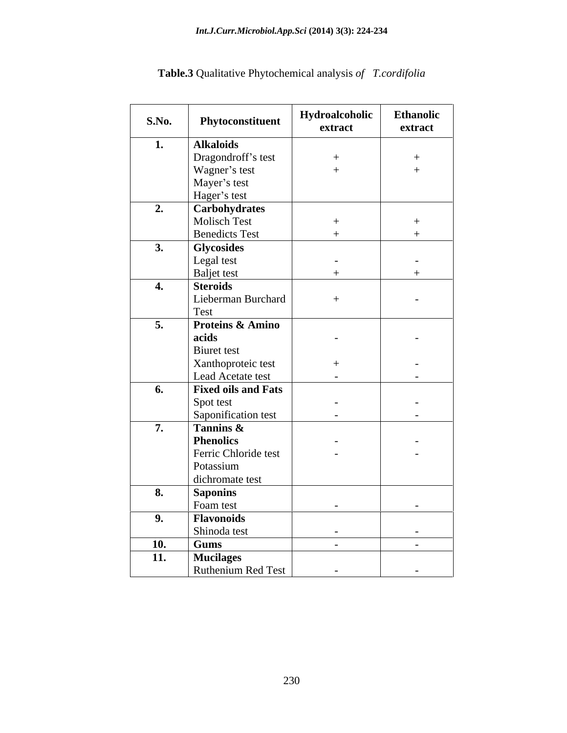#### *Int.J.Curr.Microbiol.App.Sci* **(2014) 3(3): 224-234**

| S.No.      | Phytoconstituent            | Hydroalcoholic<br>extract | <b>Ethanolic</b><br>extract |
|------------|-----------------------------|---------------------------|-----------------------------|
| 1.         | <b>Alkaloids</b>            |                           |                             |
|            | Dragondroff's test          | $+$                       | $+$                         |
|            | Wagner's test               | $+$                       | $+$                         |
|            | Mayer's test                |                           |                             |
|            | Hager's test                |                           |                             |
| 2.         | <b>Carbohydrates</b>        |                           |                             |
|            | Molisch Test                |                           | $^{+}$                      |
|            | <b>Benedicts Test</b>       | $+$                       | $\pm$                       |
| 3.         | Glycosides                  |                           |                             |
|            | Legal test                  | $\overline{a}$            | $\sim$                      |
|            | <b>Baljet</b> test          | $+$                       | $+$                         |
| 4.         | <b>Steroids</b>             |                           |                             |
|            | Lieberman Burchard          | $+$                       | $\sim$                      |
|            | Test                        |                           |                             |
| 5.         | <b>Proteins &amp; Amino</b> |                           |                             |
|            | acids                       | $\overline{a}$            | $\overline{a}$              |
|            | <b>Biuret</b> test          |                           |                             |
|            | Xanthoproteic test          | $+$                       | $\overline{\phantom{a}}$    |
|            | Lead Acetate test           | $\sim$                    | $\sim$                      |
| 6.         | <b>Fixed oils and Fats</b>  |                           |                             |
|            | Spot test                   | $\sim$                    | $\sim$                      |
|            | Saponification test         | $\sim$                    | $\sim$                      |
| 7.         | Tannins &                   |                           |                             |
|            | <b>Phenolics</b>            | $\sim$                    | $\overline{a}$              |
|            | Ferric Chloride test        | $\overline{a}$            | $\overline{a}$              |
|            | Potassium                   |                           |                             |
|            | dichromate test             |                           |                             |
| 8.         | <b>Saponins</b>             |                           |                             |
|            | Foam test                   | $\sim$                    | $\sim$                      |
| 9.         | <b>Flavonoids</b>           |                           |                             |
|            | Shinoda test                | $\sim$                    | $\sim$ $-$                  |
| <b>10.</b> | <b>Gums</b>                 | $\sim$                    | $\sim$ $-$                  |
| 11.        | <b>Mucilages</b>            |                           |                             |
|            | Ruthenium Red Test          | $\sim$                    | $\sim$                      |

**Table.3** Qualitative Phytochemical analysis *of T.cordifolia*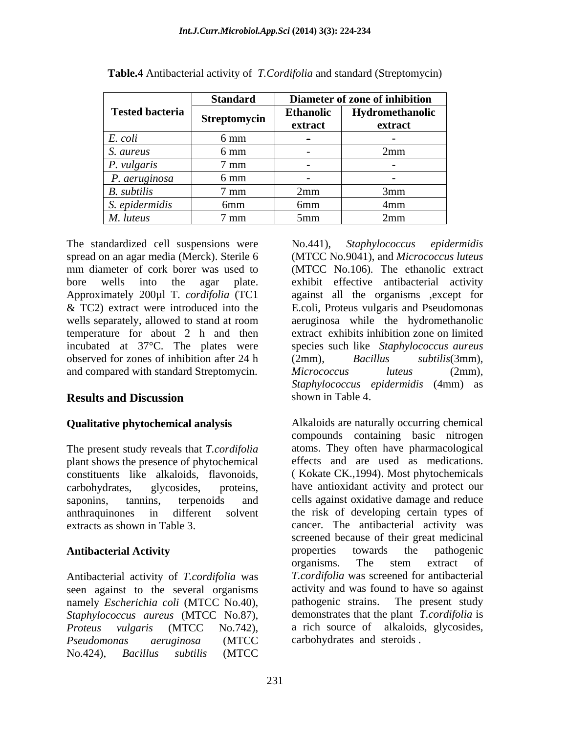|                 | <b>Standard</b> |                  | Diameter of zone of inhibition |
|-----------------|-----------------|------------------|--------------------------------|
| Tested bacteria | Streptomycin    | <b>Ethanolic</b> | Hydromethanolic                |
|                 |                 | extract          | extract                        |
| E. coli         | $6 \text{ mm}$  |                  |                                |
| S. aureus       | 6 mm            |                  |                                |
| P. vulgaris     | 7 mm            |                  |                                |
| P. aeruginosa   | 6 mm            |                  |                                |
| B. subtilis     | 7 mm            | -2mm             | $'$ mm<br>лиш                  |
| S. epidermidis  | 6mm             | 6mm              | 4mm                            |
| M. luteus       | $7 \text{ mm}$  | 5mm              | 2mm                            |

**Table.4** Antibacterial activity of *T.Cordifolia* and standard (Streptomycin)

The standardized cell suspensions were No.441), Staphylococcus epidermidis spread on an agar media (Merck). Sterile 6 (MTCC No.9041), and *Micrococcus luteus* mm diameter of cork borer was used to (MTCC No.106)*.* The ethanolic extract bore wells into the agar plate. exhibit effective antibacterial activity<br>Approximately 200µl T. *cordifolia* (TC1 against all the organisms ,except for & TC2) extract were introduced into the E.coli, Proteus vulgaris and Pseudomonas wells separately, allowed to stand at room temperature for about 2 h and then incubated at 37°C. The plates were species such like *Staphylococcus aureus* observed for zones of inhibition after 24 h (2mm), Bacillus subtilis(3mm), and compared with standard Streptomycin. Micrococcus luteus (2mm),

### **Qualitative phytochemical analysis**

The present study reveals that *T.cordifolia* atoms. They often have pharmacological plant shows the presence of phytochemical effects and are used as medications. plant shows the presence of phytochemical effects and are used as medications.<br>constituents like alkaloids. flavonoids. (Kokate CK., 1994). Most phytochemicals constituents like alkaloids, flavonoids,

Antibacterial activity of *T.cordifolia* was seen against to the several organisms activity and was found to have so against<br>namely *Escherichia coli* (MTCC No.40), pathogenic strains. The present study namely *Escherichia coli* (MTCC No.40), *Staphylococcus aureus* (MTCC No.87), *Pseudomonas aeruginosa* (MTCC No.424), *Bacillus subtilis* (MTCC

**Results and Discussion** Shown in Table 4. No.441), *Staphylococcus epidermidis* exhibit effective antibacterial activity against all the organisms ,except for aeruginosa while the hydromethanolic extract exhibits inhibition zone on limited (2mm), *Bacillus subtilis*(3mm), *Micrococcus luteus* (2mm), *Staphylococcus epidermidis* (4mm) as shown in Table 4.

carbohydrates, glycosides, proteins, have antioxidant activity and protect our saponins, tannins, terpenoids and cells against oxidative damage and reduce anthraquinones in different solvent the risk of developing certain types of extracts as shown in Table 3. cancer. The antibacterial activity was **Antibacterial Activity** *Proteus vulgaris* (MTCC No.742), a rich source of alkaloids, glycosides, Alkaloids are naturally occurring chemical compounds containing basic nitrogen atoms. They often have pharmacological effects and are used as medications. ( Kokate CK.,1994). Most phytochemicals screened because of their great medicinal properties towards the pathogenic organisms. The stem extract of *T.cordifolia* was screened for antibacterial activity and was found to have so against pathogenic strains. The present study demonstrates that the plant *T.cordifolia* is carbohydrates and steroids .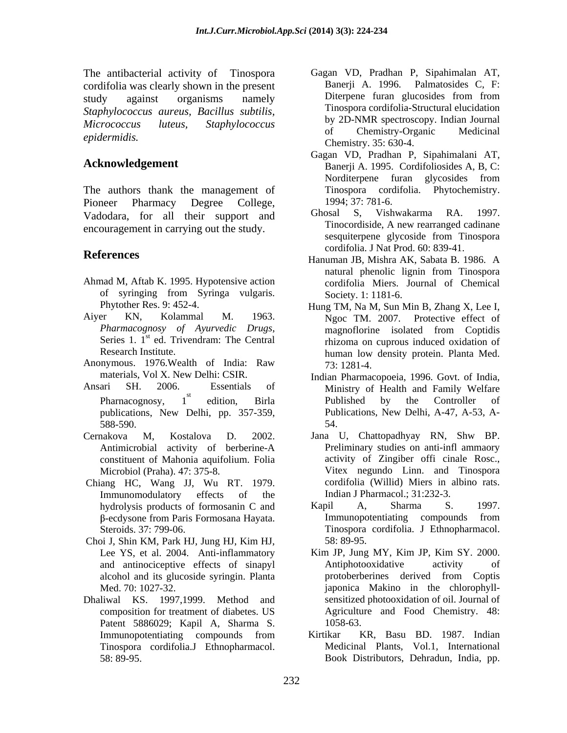The antibacterial activity of Tinospora Gagan VD, Pradhan P, Sipahimalan AT,<br>
cordifolia was clearly shown in the present Banerii A. 1996. Palmatosides C, F: cordifolia was clearly shown in the present<br>
study against organisms namely Diterpene furan glucosides from from study against organisms namely Diferpene furan glucosides from from *Staphylococcus aureus, Bacillus subtilis, Micrococcus luteus, Staphylococcus*

The authors thank the management of Pioneer Pharmacy Degree College, 1994; 37: 781-6. Vadodara, for all their support and Ghosal S, Vishwakarma RA. 1997.<br>
Tinocordiside, A new rearranged cadinane

- Ahmad M, Aftab K. 1995. Hypotensive action
- 
- 
- Ansari SH. 2006. Essentials of Ministry of Health and Family Welfare publications, New Delhi, pp. 357-359,
- Antimicrobial activity of berberine-A constituent of Mahonia aquifolium. Folia
- Chiang HC, Wang JJ, Wu RT. 1979. Immunomodulatory effects of the Indian J Pharmacol.; 31:232-3.
- Choi J, Shin KM, Park HJ, Jung HJ, Kim HJ, Lee YS, et al. 2004. Anti-inflammatory Kim JP, Jung MY, Ki<br>and antinociceptive effects of sinapyl Antiphotooxidative
- Dhaliwal KS. 1997,1999. Method and Patent 5886029; Kapil A, Sharma S. Tinospora cordifolia.J Ethnopharmacol.
- epidermidis. The contract of the contract of the contract of the contract of the contract of the contract of the contract of the contract of the contract of the contract of the contract of the contract of the contract of t Gagan VD, Pradhan P, Sipahimalan AT, Banerji A. 1996. Palmatosides C, F: Diterpene furan glucosides from from Tinospora cordifolia-Structural elucidation by 2D-NMR spectroscopy. Indian Journal of Chemistry-Organic Medicinal Chemistry. 35: 630-4.
- Acknowledgement **Banerji A. 1995.** Cordifoliosides A, B, C: Gagan VD, Pradhan P, Sipahimalani AT, Norditerpene furan glycosides from Tinospora cordifolia. Phytochemistry. 1994; 37: 781-6.
- encouragement in carrying out the study.<br>Sesquite the sequiter perfective to the sessuiter equation of the sessuiter sessuiter perfection. Ghosal S, Vishwakarma RA. 1997. Tinocordiside, A new rearranged cadinane sesquiterpene glycoside from Tinospora cordifolia. J Nat Prod. 60: 839-41.
- **References**<br>Hanuman JB, Mishra AK, Sabata B, 1986. A of syringing from Syringa vulgaris. Hanuman JB, Mishra AK, Sabata B. 1986. A natural phenolic lignin from Tinospora cordifolia Miers. Journal of Chemical Society. 1: 1181-6.
- Phytother Res. 9: 452-4. Hung TM, Na M, Sun Min B, Zhang X, Lee I, Aiyer KN, Kolammal M. 1963. Ngoc TM 2007. Protective effect of *Pharmacognosy of Ayurvedic Drugs*, magnoflorine isolated from Coptidis Series 1. 1<sup>st</sup> ed. Trivendram: The Central *rhizoma on cuprous induced oxidation of* st ed. Trivendram: The Central rhizoma on cuprous induced oxidation of Research Institute. human low density protein. Planta Med. Anonymous. 1976. Wealth of India: Raw 73: 1281-4. magnoflorine isolated from Coptidis 73: 1281-4.
	- materials, Vol X. New Delhi: CSIR. Indian Pharmacopoeia, 1996. Govt. of India, Pharnacognosy, 1<sup>"</sup> edition, Birla **Published** by the Controller of st edition, Birla Published by the Controller of 588-590. Published by the Controller of Publications, New Delhi, A-47, A-53, A- 54.
- Cernakova M, Kostalova D. 2002. Jana U, Chattopadhyay RN, Shw BP. Microbiol (Praha). 47: 375-8. Vitex negundo Linn. and Tinospora Preliminary studies on anti-infl ammaory activity of Zingiber offi cinale Rosc., cordifolia (Willid) Miers in albino rats. Indian J Pharmacol.; 31:232-3.
	- hydrolysis products of formosanin C and Kapil A, Sharma S. 1997. -ecdysone from Paris Formosana Hayata. Steroids. 37: 799-06. Tinospora cordifolia. J Ethnopharmacol. Kapil A, Sharma S. 1997. Immunopotentiating compounds from 58: 89-95.
	- and antinociceptive effects of sinapyl alcohol and its glucoside syringin. Planta Med. 70: 1027-32. japonica Makino in the chlorophyll composition for treatment of diabetes. US Agriculture and Food Chemistry. 48: Kim JP, Jung MY, Kim JP, Kim SY. 2000. Antiphotooxidative activity of protoberberines derived from Coptis sensitized photooxidation of oil. Journal of 1058-63.
	- Immunopotentiating compounds from Kirtikar KR, Basu BD. 1987. Indian 58: 89-95. Book Distributors, Dehradun, India, pp.Kirtikar KR, Basu BD. 1987. Indian Medicinal Plants, Vol.1, International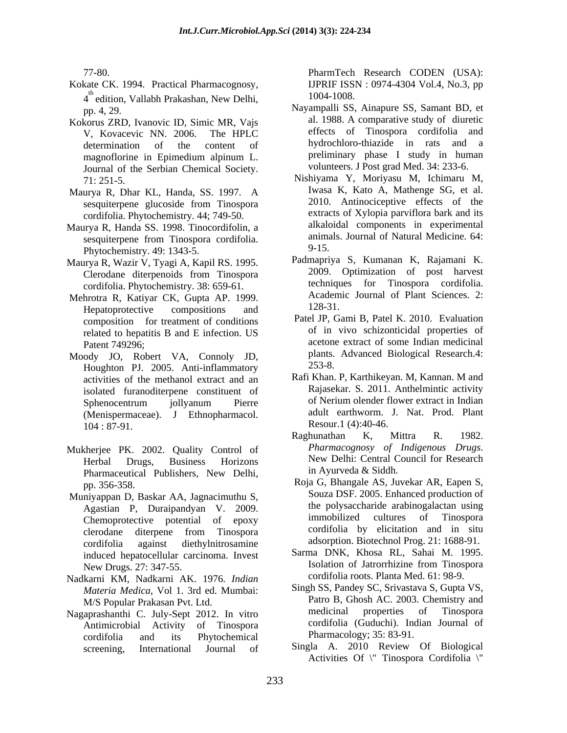- Kokate CK. 1994. Practical Pharmacognosy, IJPRIF ISSN : 0974-4304 Vol.4, No.3, pp  $4^{\text{th}}$  edition, Vallabh Prakashan, New Delhi,  $1004-1008$ . edition, Vallabh Prakashan, New Delhi,  $1004-1008$ .
- Kokorus ZRD, Ivanovic ID, Simic MR, Vajs Journal of the Serbian Chemical Society.
- Maurya R, Dhar KL, Handa, SS. 1997. A cordifolia. Phytochemistry. 44; 749-50.
- Maurya R, Handa SS. 1998. Tinocordifolin, a sesquiterpene from Tinospora cordifolia.  $\frac{\text{anim}z}{9-15}$ Phytochemistry. 49: 1343-5.
- Maurya R, Wazir V, Tyagi A, Kapil RS. 1995. Clerodane diterpenoids from Tinospora cordifolia. Phytochemistry. 38: 659-61.
- Mehrotra R, Katiyar CK, Gupta AP. 1999. Academ<br>
Henatoprotective compositions and 128-31. Hepatoprotective compositions and  $128-31$ . composition for treatment of conditions related to hepatitis B and E infection. US
- Moody JO, Robert VA, Connoly JD, plants.<br>Houghton PL 2005, Anti-inflammatory, 253-8. Houghton PJ. 2005. Anti-inflammatory activities of the methanol extract and an (Menispermaceae). J Ethnopharmacol.  $104 : 87-91.$  Resour. 1 (4):40-46.
- Pharmaceutical Publishers, New Delhi,
- Muniyappan D, Baskar AA, Jagnacimuthu S, Agastian P, Duraipandyan V. 2009. Chemoprotective potential of epoxy cordifolia against diethylnitrosamine adsorption. Biotechnol Prog. 21: 1688-91. induced hepatocellular carcinoma. Invest
- Nadkarni KM, Nadkarni AK. 1976. *Indian Materia Medica*, Vol 1. 3rd ed. Mumbai:
- cordifolia and its Phytochemical

77-80. PharmTech Research CODEN (USA): PharmTech Research CODEN (USA): 1004-1008.

- pp. 4, 29. Nayampalli SS, Ainapure SS, Samant BD, et V, Kovacevic NN. 2006. The HPLC determination of the content of hydrochloro-thiazide in rats and a magnoflorine in Epimedium alpinum L. al. 1988. A comparative study of diuretic effects of Tinospora cordifolia and preliminary phase I study in human volunteers. J Post grad Med. 34: 233-6.
- 71: 251-5. Nishiyama Y, Moriyasu M, Ichimaru M, sesquiterpene glucoside from Tinospora 2010. Antinociceptive effects of the Iwasa K, Kato A, Mathenge SG, et al. 2010. Antinociceptive effects of the extracts of Xylopia parviflora bark and its alkaloidal components in experimental animals. Journal of Natural Medicine. 64: 9-15.
	- Padmapriya S, Kumanan K, Rajamani K. 2009. Optimization of post harvest techniques for Tinospora cordifolia. Academic Journal of Plant Sciences. 2: 128-31.
- Patent 749296;<br>
acetone extract of some Indian medicinal Patel JP, Gami B, Patel K. 2010. Evaluation of in vivo schizonticidal properties of plants. Advanced Biological Research.4: 253-8.
- isolated furanoditerpene constituent of Rajasekar. S. 2011. Anthelmintic activity<br>Sphenocentrum iollyanum Pierre of Nerium olender flower extract in Indian Sphenocentrum jollyanum Pierre of Nerium olender flower extract in Indian Rafi Khan. P, Karthikeyan. M, Kannan. M and Rajasekar. S. 2011. Anthelmintic activity of Nerium olender flower extract in Indian adult earthworm. J. Nat. Prod. Plant Resour.1 (4):40-46.
- Mukherjee PK. 2002. Quality Control of Pharmacognosy of Indigenous Drugs. Herbal Drugs, Business Horizons New Delhi: Central Council for Research Raghunathan K, Mittra R. 1982. *Pharmacognosy of Indigenous Drugs*. New Delhi: Central Council for Research in Ayurveda & Siddh.
	- pp. 356-358. Roja G, Bhangale AS, Juvekar AR, Eapen S, clerodane diterpene from Tinospora Souza DSF. 2005. Enhanced production of the polysaccharide arabinogalactan using immobilized cultures of Tinospora cordifolia by elicitation and in situ adsorption. Biotechnol Prog. 21: 1688-91.
	- New Drugs. 27: 347-55. Isolation of Jatrorrhizine from Tinospora Sarma DNK, Khosa RL, Sahai M. 1995. Isolation of Jatrorrhizine from Tinospora cordifolia roots. Planta Med. 61: 98-9.
- M/S Popular Prakasan Pvt. Ltd. Patro B, Ghosh AC. 2003. Chemistry and Nagaprashanthi C. July-Sept 2012. In vitro medicinal properties of Tinospora Antimicrobial Activity of Tinospora Singh SS, Pandey SC, Srivastava S, Gupta VS, medicinal properties of Tinospora cordifolia (Guduchi). Indian Journal of Pharmacology; 35: 83-91.
	- screening, International Journal of Singla A. 2010 Review Of Biological Activities Of \" Tinospora Cordifolia \"